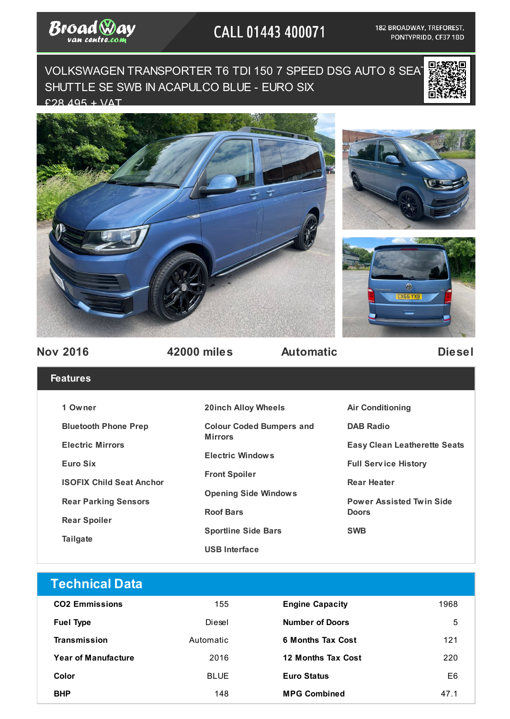

## CALL 01443 400071

182 BROADWAY, TREFOREST, PONTYPRIDD, CF37 1BD

VOLKSWAGEN TRANSPORTER T6 TDI 150 7 SPEED DSG AUTO 8 SEAT SHUTTLE SE SWB IN ACAPULCO BLUE - EURO SIX  $298,495 + \sqrt{AT}$ 









**Nov 2016 42000 miles Automatic Diesel**

**Seats** 

## **Features**

| 1 Owner                         | <b>20inch Alloy Wheels</b>      | <b>Air Conditioning</b>          |  |
|---------------------------------|---------------------------------|----------------------------------|--|
| <b>Bluetooth Phone Prep</b>     | <b>Colour Coded Bumpers and</b> | <b>DAB Radio</b>                 |  |
| <b>Electric Mirrors</b>         | <b>Mirrors</b>                  | <b>Easy Clean Leatherette Se</b> |  |
| Euro Six                        | <b>Electric Windows</b>         | <b>Full Service History</b>      |  |
| <b>ISOFIX Child Seat Anchor</b> | <b>Front Spoiler</b>            | <b>Rear Heater</b>               |  |
| <b>Rear Parking Sensors</b>     | <b>Opening Side Windows</b>     | <b>Power Assisted Twin Side</b>  |  |
| <b>Rear Spoiler</b>             | <b>Roof Bars</b>                | <b>Doors</b>                     |  |
| <b>Tailgate</b>                 | <b>Sportline Side Bars</b>      | <b>SWB</b>                       |  |
|                                 | <b>USB Interface</b>            |                                  |  |

| <b>Technical Data</b>      |             |                           |      |
|----------------------------|-------------|---------------------------|------|
| <b>CO2 Emmissions</b>      | 155         | <b>Engine Capacity</b>    | 1968 |
| <b>Fuel Type</b>           | Diesel      | <b>Number of Doors</b>    | 5    |
| <b>Transmission</b>        | Automatic   | <b>6 Months Tax Cost</b>  | 121  |
| <b>Year of Manufacture</b> | 2016        | <b>12 Months Tax Cost</b> | 220  |
| Color                      | <b>BLUE</b> | <b>Euro Status</b>        | E6   |
| <b>BHP</b>                 | 148         | <b>MPG Combined</b>       | 47.1 |